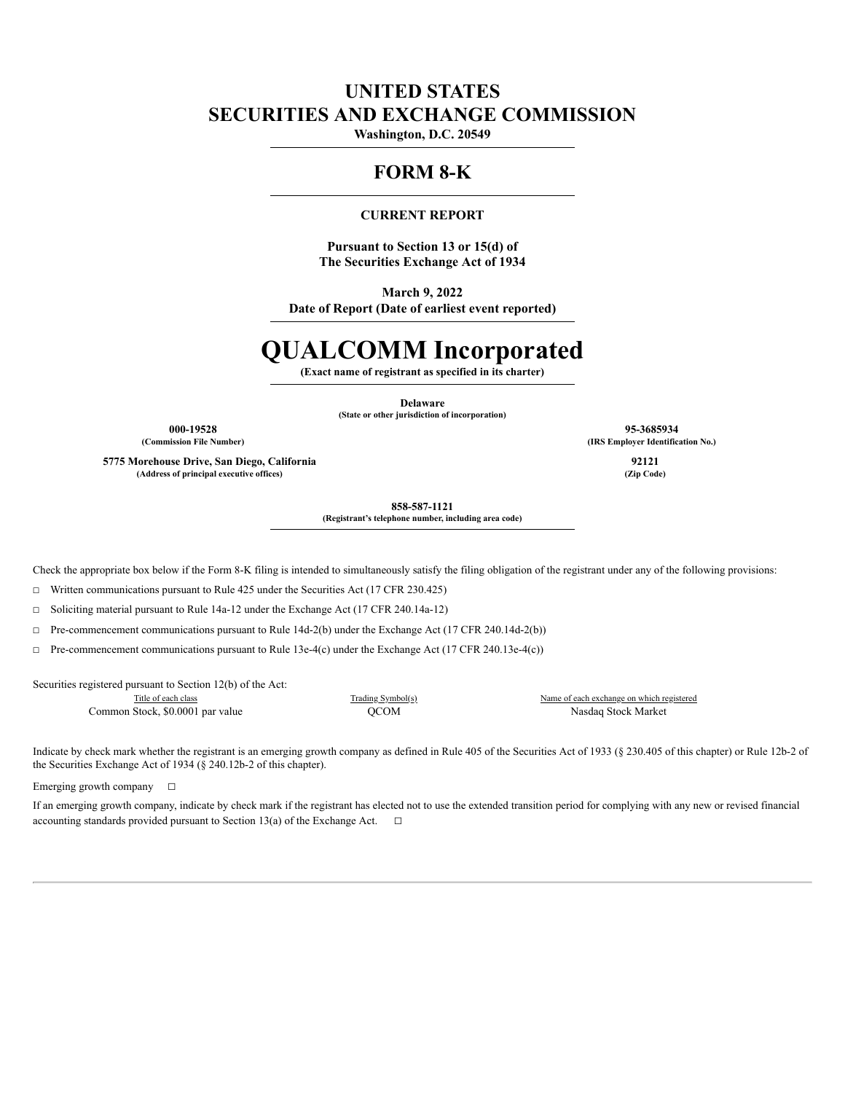# **UNITED STATES SECURITIES AND EXCHANGE COMMISSION**

**Washington, D.C. 20549**

# **FORM 8-K**

## **CURRENT REPORT**

**Pursuant to Section 13 or 15(d) of The Securities Exchange Act of 1934**

**March 9, 2022 Date of Report (Date of earliest event reported)**

# **QUALCOMM Incorporated**

**(Exact name of registrant as specified in its charter)**

**Delaware**

**(State or other jurisdiction of incorporation)**

**5775 Morehouse Drive, San Diego, California 92121 (Address of principal executive offices) (Zip Code)**

**000-19528 95-3685934 (Commission File Number) (IRS Employer Identification No.)**

**858-587-1121 (Registrant's telephone number, including area code)**

Check the appropriate box below if the Form 8-K filing is intended to simultaneously satisfy the filing obligation of the registrant under any of the following provisions:

☐ Written communications pursuant to Rule 425 under the Securities Act (17 CFR 230.425)

☐ Soliciting material pursuant to Rule 14a-12 under the Exchange Act (17 CFR 240.14a-12)

☐ Pre-commencement communications pursuant to Rule 14d-2(b) under the Exchange Act (17 CFR 240.14d-2(b))

 $\Box$  Pre-commencement communications pursuant to Rule 13e-4(c) under the Exchange Act (17 CFR 240.13e-4(c))

Securities registered pursuant to Section 12(b) of the Act:

Title of each class Trading Symbol(s) Name of each exchange on which registered

Common Stock, \$0.0001 par value  $\Omega$  and  $\Omega$  and  $\Omega$  and  $\Omega$  are  $\Omega$  and  $\Omega$  and  $\Omega$  and  $\Omega$  are  $\Omega$  and  $\Omega$  are  $\Omega$  and  $\Omega$  are  $\Omega$  and  $\Omega$  are  $\Omega$  and  $\Omega$  are  $\Omega$  and  $\Omega$  are  $\Omega$  and  $\Omega$  are  $\Omega$  and

Indicate by check mark whether the registrant is an emerging growth company as defined in Rule 405 of the Securities Act of 1933 (§ 230.405 of this chapter) or Rule 12b-2 of the Securities Exchange Act of 1934 (§ 240.12b-2 of this chapter).

Emerging growth company  $\Box$ 

If an emerging growth company, indicate by check mark if the registrant has elected not to use the extended transition period for complying with any new or revised financial accounting standards provided pursuant to Section 13(a) of the Exchange Act.  $□$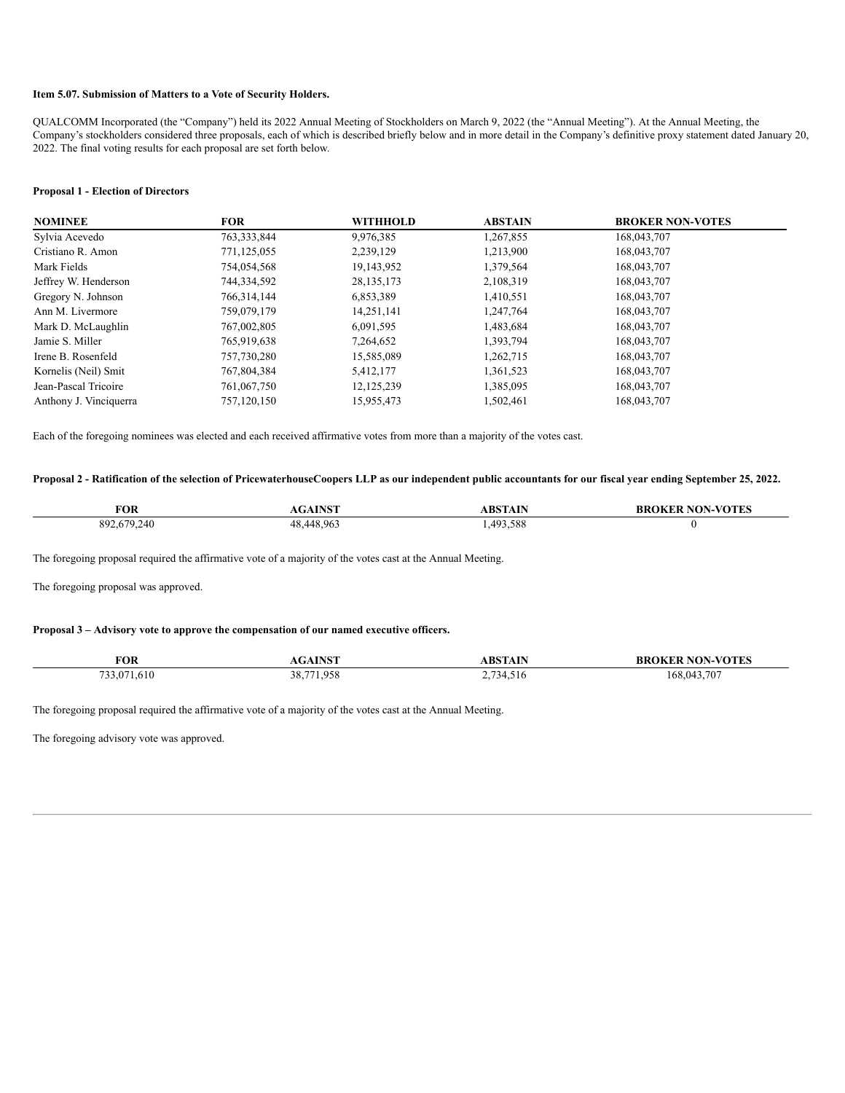#### **Item 5.07. Submission of Matters to a Vote of Security Holders.**

QUALCOMM Incorporated (the "Company") held its 2022 Annual Meeting of Stockholders on March 9, 2022 (the "Annual Meeting"). At the Annual Meeting, the Company's stockholders considered three proposals, each of which is described briefly below and in more detail in the Company's definitive proxy statement dated January 20, 2022. The final voting results for each proposal are set forth below.

#### **Proposal 1 - Election of Directors**

| <b>NOMINEE</b>         | <b>FOR</b>  | WITHHOLD     | <b>ABSTAIN</b> | <b>BROKER NON-VOTES</b> |
|------------------------|-------------|--------------|----------------|-------------------------|
| Sylvia Acevedo         | 763,333,844 | 9,976,385    | 1,267,855      | 168,043,707             |
| Cristiano R. Amon      | 771,125,055 | 2,239,129    | 1,213,900      | 168,043,707             |
| Mark Fields            | 754,054,568 | 19,143,952   | 1,379,564      | 168,043,707             |
| Jeffrey W. Henderson   | 744,334,592 | 28, 135, 173 | 2,108,319      | 168,043,707             |
| Gregory N. Johnson     | 766,314,144 | 6,853,389    | 1,410,551      | 168,043,707             |
| Ann M. Livermore       | 759,079,179 | 14,251,141   | 1,247,764      | 168,043,707             |
| Mark D. McLaughlin     | 767,002,805 | 6,091,595    | 1,483,684      | 168,043,707             |
| Jamie S. Miller        | 765,919,638 | 7,264,652    | 1,393,794      | 168,043,707             |
| Irene B. Rosenfeld     | 757,730,280 | 15,585,089   | 1,262,715      | 168,043,707             |
| Kornelis (Neil) Smit   | 767,804,384 | 5,412,177    | 1,361,523      | 168,043,707             |
| Jean-Pascal Tricoire   | 761,067,750 | 12, 125, 239 | 1,385,095      | 168,043,707             |
| Anthony J. Vinciquerra | 757,120,150 | 15,955,473   | 1,502,461      | 168,043,707             |

Each of the foregoing nominees was elected and each received affirmative votes from more than a majority of the votes cast.

### Proposal 2 - Ratification of the selection of PricewaterhouseCoopers LLP as our independent public accountants for our fiscal year ending September 25, 2022.

| <b>FOR</b>  | <b>AGAINST</b> | <b>ABSTAIN</b> | <b>BROKER NON-VOTES</b> |
|-------------|----------------|----------------|-------------------------|
| 892,679,240 | 48.448.963     | ,493,588       |                         |

The foregoing proposal required the affirmative vote of a majority of the votes cast at the Annual Meeting.

The foregoing proposal was approved.

#### **Proposal 3 – Advisory vote to approve the compensation of our named executive officers.**

| <b>FOR</b>  | <b>AGAINST</b> | <b>ABSTAIN</b> | <b>BROKER NON-VOTES</b> |
|-------------|----------------|----------------|-------------------------|
| 733,071,610 | 38,771,958     | 2,734,516      | 168,043,707             |

The foregoing proposal required the affirmative vote of a majority of the votes cast at the Annual Meeting.

The foregoing advisory vote was approved.